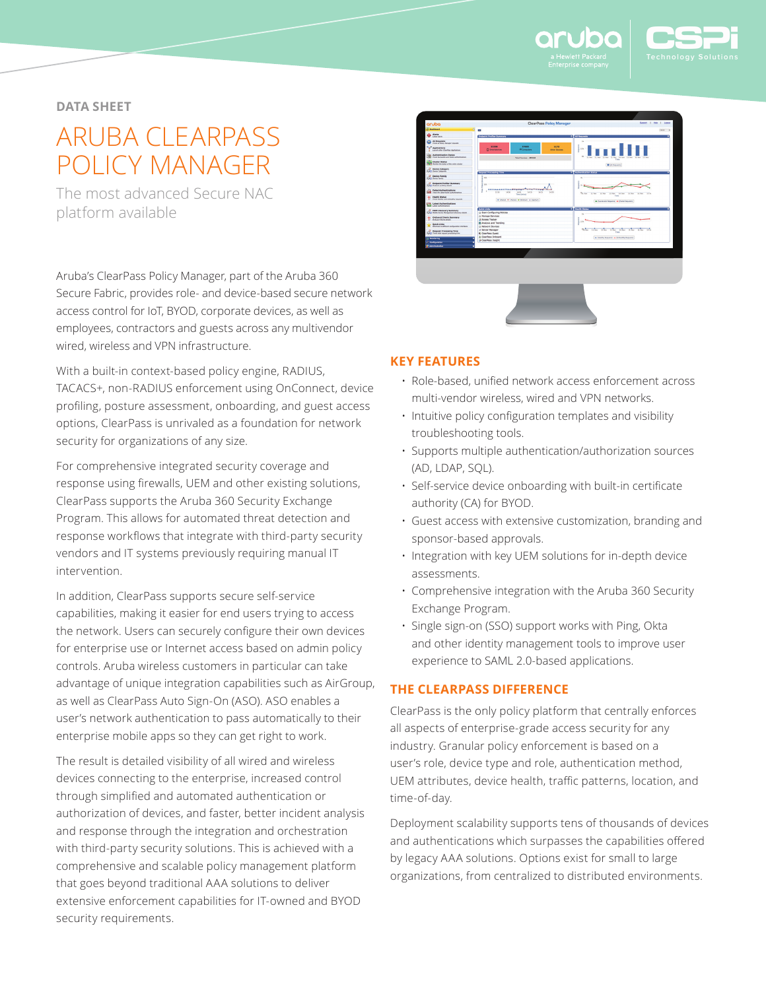

## **DATA SHEET**

# ARUBA CLEARPASS POLICY MANAGER

The most advanced Secure NAC platform available

Aruba's ClearPass Policy Manager, part of the Aruba 360 Secure Fabric, provides role- and device-based secure network access control for IoT, BYOD, corporate devices, as well as employees, contractors and guests across any multivendor wired, wireless and VPN infrastructure.

With a built-in context-based policy engine, RADIUS, TACACS+, non-RADIUS enforcement using OnConnect, device profiling, posture assessment, onboarding, and guest access options, ClearPass is unrivaled as a foundation for network security for organizations of any size.

For comprehensive integrated security coverage and response using firewalls, UEM and other existing solutions, ClearPass supports the Aruba 360 Security Exchange Program. This allows for automated threat detection and response workflows that integrate with third-party security vendors and IT systems previously requiring manual IT intervention.

In addition, ClearPass supports secure self-service capabilities, making it easier for end users trying to access the network. Users can securely configure their own devices for enterprise use or Internet access based on admin policy controls. Aruba wireless customers in particular can take advantage of unique integration capabilities such as AirGroup, as well as ClearPass Auto Sign-On (ASO). ASO enables a user's network authentication to pass automatically to their enterprise mobile apps so they can get right to work.

The result is detailed visibility of all wired and wireless devices connecting to the enterprise, increased control through simplified and automated authentication or authorization of devices, and faster, better incident analysis and response through the integration and orchestration with third-party security solutions. This is achieved with a comprehensive and scalable policy management platform that goes beyond traditional AAA solutions to deliver extensive enforcement capabilities for IT-owned and BYOD security requirements.



## **KEY FEATURES**

- Role-based, unified network access enforcement across multi-vendor wireless, wired and VPN networks.
- Intuitive policy configuration templates and visibility troubleshooting tools.
- Supports multiple authentication/authorization sources (AD, LDAP, SQL).
- Self-service device onboarding with built-in certificate authority (CA) for BYOD.
- Guest access with extensive customization, branding and sponsor-based approvals.
- Integration with key UEM solutions for in-depth device assessments.
- Comprehensive integration with the Aruba 360 Security Exchange Program.
- Single sign-on (SSO) support works with Ping, Okta and other identity management tools to improve user experience to SAML 2.0-based applications.

## **THE CLEARPASS DIFFERENCE**

ClearPass is the only policy platform that centrally enforces all aspects of enterprise-grade access security for any industry. Granular policy enforcement is based on a user's role, device type and role, authentication method, UEM attributes, device health, traffic patterns, location, and time-of-day.

Deployment scalability supports tens of thousands of devices and authentications which surpasses the capabilities offered by legacy AAA solutions. Options exist for small to large organizations, from centralized to distributed environments.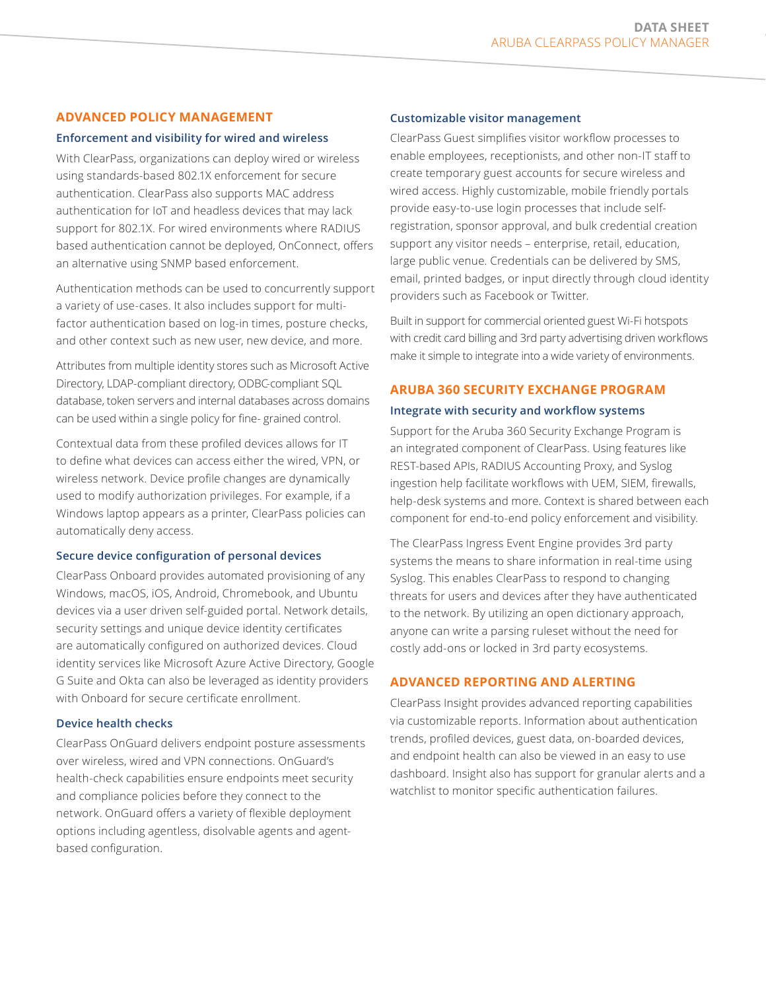# **ADVANCED POLICY MANAGEMENT**

#### **Enforcement and visibility for wired and wireless**

With ClearPass, organizations can deploy wired or wireless using standards-based 802.1X enforcement for secure authentication. ClearPass also supports MAC address authentication for IoT and headless devices that may lack support for 802.1X. For wired environments where RADIUS based authentication cannot be deployed, OnConnect, offers an alternative using SNMP based enforcement.

Authentication methods can be used to concurrently support a variety of use-cases. It also includes support for multifactor authentication based on log-in times, posture checks, and other context such as new user, new device, and more.

Attributes from multiple identity stores such as Microsoft Active Directory, LDAP-compliant directory, ODBC-compliant SQL database, token servers and internal databases across domains can be used within a single policy for fine- grained control.

Contextual data from these profiled devices allows for IT to define what devices can access either the wired, VPN, or wireless network. Device profile changes are dynamically used to modify authorization privileges. For example, if a Windows laptop appears as a printer, ClearPass policies can automatically deny access.

#### **Secure device configuration of personal devices**

ClearPass Onboard provides automated provisioning of any Windows, macOS, iOS, Android, Chromebook, and Ubuntu devices via a user driven self-guided portal. Network details, security settings and unique device identity certificates are automatically configured on authorized devices. Cloud identity services like Microsoft Azure Active Directory, Google G Suite and Okta can also be leveraged as identity providers with Onboard for secure certificate enrollment.

#### **Device health checks**

ClearPass OnGuard delivers endpoint posture assessments over wireless, wired and VPN connections. OnGuard's health-check capabilities ensure endpoints meet security and compliance policies before they connect to the network. OnGuard offers a variety of flexible deployment options including agentless, disolvable agents and agentbased configuration.

#### **Customizable visitor management**

ClearPass Guest simplifies visitor workflow processes to enable employees, receptionists, and other non-IT staff to create temporary guest accounts for secure wireless and wired access. Highly customizable, mobile friendly portals provide easy-to-use login processes that include selfregistration, sponsor approval, and bulk credential creation support any visitor needs – enterprise, retail, education, large public venue. Credentials can be delivered by SMS, email, printed badges, or input directly through cloud identity providers such as Facebook or Twitter.

Built in support for commercial oriented guest Wi-Fi hotspots with credit card billing and 3rd party advertising driven workflows make it simple to integrate into a wide variety of environments.

## **ARUBA 360 SECURITY EXCHANGE PROGRAM**

#### **Integrate with security and workflow systems**

Support for the Aruba 360 Security Exchange Program is an integrated component of ClearPass. Using features like REST-based APIs, RADIUS Accounting Proxy, and Syslog ingestion help facilitate workflows with UEM, SIEM, firewalls, help-desk systems and more. Context is shared between each component for end-to-end policy enforcement and visibility.

The ClearPass Ingress Event Engine provides 3rd party systems the means to share information in real-time using Syslog. This enables ClearPass to respond to changing threats for users and devices after they have authenticated to the network. By utilizing an open dictionary approach, anyone can write a parsing ruleset without the need for costly add-ons or locked in 3rd party ecosystems.

#### **ADVANCED REPORTING AND ALERTING**

ClearPass Insight provides advanced reporting capabilities via customizable reports. Information about authentication trends, profiled devices, guest data, on-boarded devices, and endpoint health can also be viewed in an easy to use dashboard. Insight also has support for granular alerts and a watchlist to monitor specific authentication failures.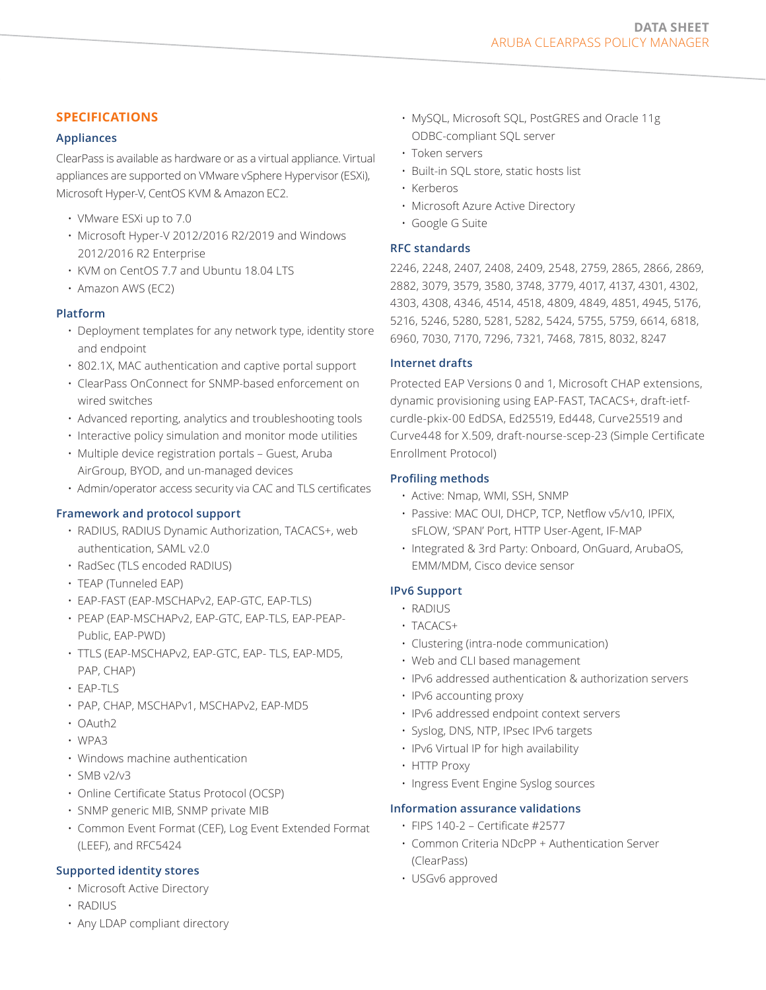# **SPECIFICATIONS**

## **Appliances**

ClearPass is available as hardware or as a virtual appliance. Virtual appliances are supported on VMware vSphere Hypervisor (ESXi), Microsoft Hyper-V, CentOS KVM & Amazon EC2.

- VMware ESXi up to 7.0
- Microsoft Hyper-V 2012/2016 R2/2019 and Windows 2012/2016 R2 Enterprise
- KVM on CentOS 7.7 and Ubuntu 18.04 LTS
- Amazon AWS (EC2)

### **Platform**

- Deployment templates for any network type, identity store and endpoint
- 802.1X, MAC authentication and captive portal support
- ClearPass OnConnect for SNMP-based enforcement on wired switches
- Advanced reporting, analytics and troubleshooting tools
- Interactive policy simulation and monitor mode utilities
- Multiple device registration portals Guest, Aruba AirGroup, BYOD, and un-managed devices
- Admin/operator access security via CAC and TLS certificates

## **Framework and protocol support**

- RADIUS, RADIUS Dynamic Authorization, TACACS+, web authentication, SAML v2.0
- RadSec (TLS encoded RADIUS)
- TEAP (Tunneled EAP)
- EAP-FAST (EAP-MSCHAPv2, EAP-GTC, EAP-TLS)
- PEAP (EAP-MSCHAPv2, EAP-GTC, EAP-TLS, EAP-PEAP-Public, EAP-PWD)
- TTLS (EAP-MSCHAPv2, EAP-GTC, EAP- TLS, EAP-MD5, PAP, CHAP)
- EAP-TLS
- PAP, CHAP, MSCHAPv1, MSCHAPv2, EAP-MD5
- OAuth2
- WPA3
- Windows machine authentication
- SMB v2/v3
- Online Certificate Status Protocol (OCSP)
- SNMP generic MIB, SNMP private MIB
- Common Event Format (CEF), Log Event Extended Format (LEEF), and RFC5424

## **Supported identity stores**

- Microsoft Active Directory
- RADIUS
- Any LDAP compliant directory
- MySQL, Microsoft SQL, PostGRES and Oracle 11g ODBC-compliant SQL server
- Token servers
- Built-in SQL store, static hosts list
- Kerberos
- Microsoft Azure Active Directory
- Google G Suite

### **RFC standards**

2246, 2248, 2407, 2408, 2409, 2548, 2759, 2865, 2866, 2869, 2882, 3079, 3579, 3580, 3748, 3779, 4017, 4137, 4301, 4302, 4303, 4308, 4346, 4514, 4518, 4809, 4849, 4851, 4945, 5176, 5216, 5246, 5280, 5281, 5282, 5424, 5755, 5759, 6614, 6818, 6960, 7030, 7170, 7296, 7321, 7468, 7815, 8032, 8247

### **Internet drafts**

Protected EAP Versions 0 and 1, Microsoft CHAP extensions, dynamic provisioning using EAP-FAST, TACACS+, draft-ietfcurdle-pkix-00 EdDSA, Ed25519, Ed448, Curve25519 and Curve448 for X.509, draft-nourse-scep-23 (Simple Certificate Enrollment Protocol)

### **Profiling methods**

- Active: Nmap, WMI, SSH, SNMP
- Passive: MAC OUI, DHCP, TCP, Netflow v5/v10, IPFIX, sFLOW, 'SPAN' Port, HTTP User-Agent, IF-MAP
- Integrated & 3rd Party: Onboard, OnGuard, ArubaOS, EMM/MDM, Cisco device sensor

## **IPv6 Support**

- RADIUS
- TACACS+
- Clustering (intra-node communication)
- Web and CLI based management
- IPv6 addressed authentication & authorization servers
- IPv6 accounting proxy
- IPv6 addressed endpoint context servers
- Syslog, DNS, NTP, IPsec IPv6 targets
- IPv6 Virtual IP for high availability
- HTTP Proxy
- Ingress Event Engine Syslog sources

#### **Information assurance validations**

- FIPS 140-2 Certificate #2577
- Common Criteria NDcPP + Authentication Server (ClearPass)
- USGv6 approved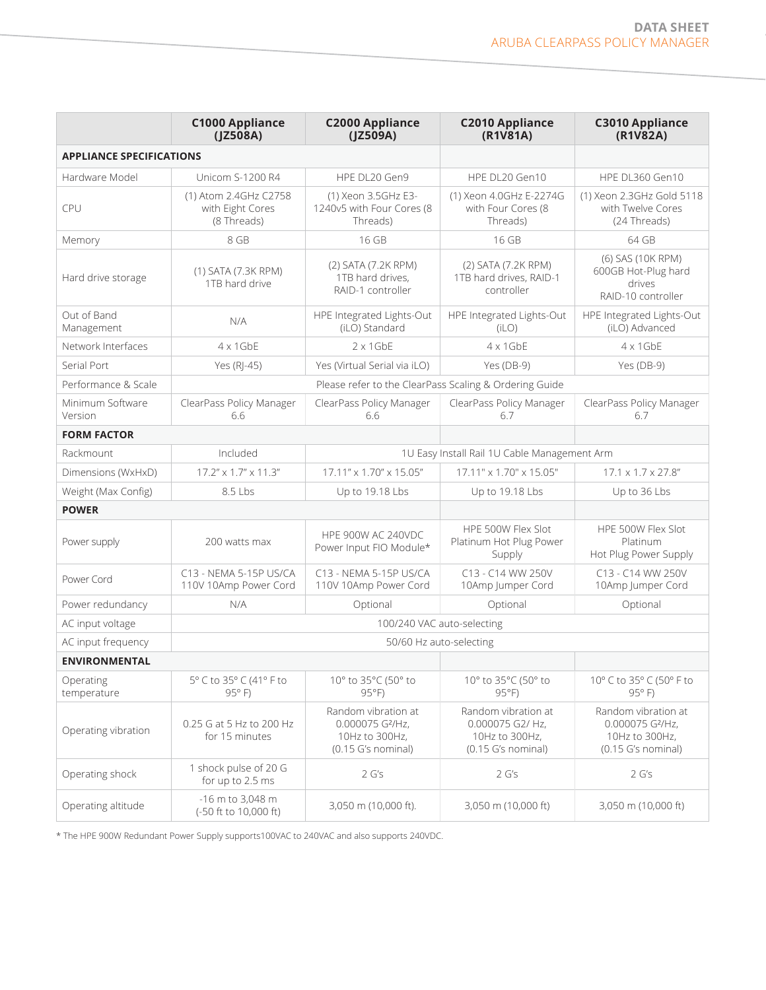|                                 | <b>C1000 Appliance</b><br>(JZ508A)                       | <b>C2000 Appliance</b><br>(JZ509A)                                                          | <b>C2010 Appliance</b><br>(R1V81A)                                              | <b>C3010 Appliance</b><br>(R1V82A)                                                          |  |  |
|---------------------------------|----------------------------------------------------------|---------------------------------------------------------------------------------------------|---------------------------------------------------------------------------------|---------------------------------------------------------------------------------------------|--|--|
| <b>APPLIANCE SPECIFICATIONS</b> |                                                          |                                                                                             |                                                                                 |                                                                                             |  |  |
| Hardware Model                  | <b>Unicom S-1200 R4</b>                                  | HPE DL20 Gen9                                                                               | HPE DL20 Gen10                                                                  | HPE DL360 Gen10                                                                             |  |  |
| <b>CPU</b>                      | (1) Atom 2.4GHz C2758<br>with Eight Cores<br>(8 Threads) | (1) Xeon 3.5GHz E3-<br>1240v5 with Four Cores (8<br>Threads)                                | (1) Xeon 4.0GHz E-2274G<br>with Four Cores (8<br>Threads)                       | (1) Xeon 2.3GHz Gold 5118<br>with Twelve Cores<br>(24 Threads)                              |  |  |
| Memory                          | 8 GB                                                     | 16 GB                                                                                       | 16 GB                                                                           | 64 GB                                                                                       |  |  |
| Hard drive storage              | (1) SATA (7.3K RPM)<br>1TB hard drive                    | (2) SATA (7.2K RPM)<br>1TB hard drives.<br>RAID-1 controller                                | (2) SATA (7.2K RPM)<br>1TB hard drives, RAID-1<br>controller                    | (6) SAS (10K RPM)<br>600GB Hot-Plug hard<br>drives<br>RAID-10 controller                    |  |  |
| Out of Band<br>Management       | N/A                                                      | HPE Integrated Lights-Out<br>(iLO) Standard                                                 | HPE Integrated Lights-Out<br>(iLO)                                              | HPE Integrated Lights-Out<br>(iLO) Advanced                                                 |  |  |
| Network Interfaces              | $4 \times 1$ GbE                                         | $2 \times 1$ GbE                                                                            | $4 \times 1$ GbE                                                                | $4 \times 1$ GbE                                                                            |  |  |
| Serial Port                     | Yes (RI-45)                                              | Yes (Virtual Serial via iLO)                                                                | Yes (DB-9)                                                                      | Yes (DB-9)                                                                                  |  |  |
| Performance & Scale             |                                                          | Please refer to the ClearPass Scaling & Ordering Guide                                      |                                                                                 |                                                                                             |  |  |
| Minimum Software<br>Version     | ClearPass Policy Manager<br>6.6                          | ClearPass Policy Manager<br>6.6                                                             | ClearPass Policy Manager<br>6.7                                                 | ClearPass Policy Manager<br>6.7                                                             |  |  |
| <b>FORM FACTOR</b>              |                                                          |                                                                                             |                                                                                 |                                                                                             |  |  |
| Rackmount                       | Included                                                 |                                                                                             | 1U Easy Install Rail 1U Cable Management Arm                                    |                                                                                             |  |  |
| Dimensions (WxHxD)              | $17.2'' \times 1.7'' \times 11.3''$                      | 17.11" x 1.70" x 15.05"                                                                     | 17.11" x 1.70" x 15.05"                                                         | $17.1 \times 1.7 \times 27.8$ "                                                             |  |  |
| Weight (Max Config)             | 8.5 Lbs                                                  | Up to 19.18 Lbs                                                                             | Up to 19.18 Lbs                                                                 | Up to 36 Lbs                                                                                |  |  |
| <b>POWER</b>                    |                                                          |                                                                                             |                                                                                 |                                                                                             |  |  |
| Power supply                    | 200 watts max                                            | <b>HPE 900W AC 240VDC</b><br>Power Input FIO Module*                                        | HPE 500W Flex Slot<br>Platinum Hot Plug Power<br>Supply                         | HPE 500W Flex Slot<br>Platinum<br>Hot Plug Power Supply                                     |  |  |
| Power Cord                      | C13 - NEMA 5-15P US/CA<br>110V 10Amp Power Cord          | C13 - NEMA 5-15P US/CA<br>110V 10Amp Power Cord                                             | C13 - C14 WW 250V<br>10Amp Jumper Cord                                          | C13 - C14 WW 250V<br>10Amp Jumper Cord                                                      |  |  |
| Power redundancy                | N/A                                                      | Optional<br>Optional<br>Optional                                                            |                                                                                 |                                                                                             |  |  |
| AC input voltage                | 100/240 VAC auto-selecting                               |                                                                                             |                                                                                 |                                                                                             |  |  |
| AC input frequency              | 50/60 Hz auto-selecting                                  |                                                                                             |                                                                                 |                                                                                             |  |  |
| <b>ENVIRONMENTAL</b>            |                                                          |                                                                                             |                                                                                 |                                                                                             |  |  |
| Operating<br>temperature        | 5° C to 35° C (41° F to<br>$95°$ F)                      | 10° to 35°C (50° to<br>$95^{\circ}F$                                                        | 10° to 35°C (50° to<br>$95^{\circ}F$                                            | 10° C to 35° C (50° F to<br>$95°$ F)                                                        |  |  |
| Operating vibration             | 0.25 G at 5 Hz to 200 Hz<br>for 15 minutes               | Random vibration at<br>0.000075 G <sup>2</sup> /Hz,<br>10Hz to 300Hz,<br>(0.15 G's nominal) | Random vibration at<br>0.000075 G2/ Hz,<br>10Hz to 300Hz,<br>(0.15 G's nominal) | Random vibration at<br>0.000075 G <sup>2</sup> /Hz,<br>10Hz to 300Hz,<br>(0.15 G's nominal) |  |  |
| Operating shock                 | 1 shock pulse of 20 G<br>for up to 2.5 ms                | 2 G's                                                                                       | 2 G's                                                                           | 2 G's                                                                                       |  |  |
| Operating altitude              | -16 m to 3,048 m<br>(-50 ft to 10,000 ft)                | 3,050 m (10,000 ft).                                                                        | 3,050 m (10,000 ft)                                                             | 3,050 m (10,000 ft)                                                                         |  |  |

\* The HPE 900W Redundant Power Supply supports100VAC to 240VAC and also supports 240VDC.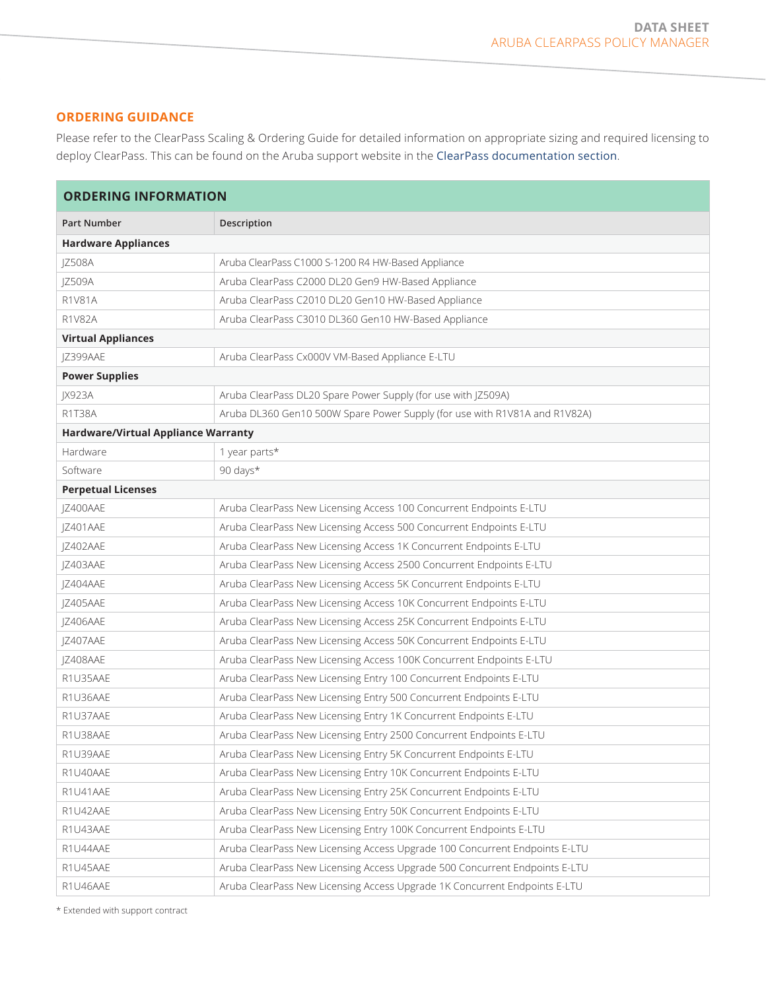# **ORDERING GUIDANCE**

Please refer to the ClearPass Scaling & Ordering Guide for detailed information on appropriate sizing and required licensing to deploy ClearPass. This can be found on the Aruba support website in the [ClearPass documentation section](https://asp.arubanetworks.com/downloads;fileTypes=DOCUMENT;products=Aruba%20ClearPass%20Policy%20Manager%20%28CPPM%29).

| <b>ORDERING INFORMATION</b>                |                                                                             |  |  |  |
|--------------------------------------------|-----------------------------------------------------------------------------|--|--|--|
| Part Number                                | Description                                                                 |  |  |  |
| <b>Hardware Appliances</b>                 |                                                                             |  |  |  |
| JZ508A                                     | Aruba ClearPass C1000 S-1200 R4 HW-Based Appliance                          |  |  |  |
| <b>IZ509A</b>                              | Aruba ClearPass C2000 DL20 Gen9 HW-Based Appliance                          |  |  |  |
| R1V81A                                     | Aruba ClearPass C2010 DL20 Gen10 HW-Based Appliance                         |  |  |  |
| <b>R1V82A</b>                              | Aruba ClearPass C3010 DL360 Gen10 HW-Based Appliance                        |  |  |  |
| <b>Virtual Appliances</b>                  |                                                                             |  |  |  |
| JZ399AAE                                   | Aruba ClearPass Cx000V VM-Based Appliance E-LTU                             |  |  |  |
| <b>Power Supplies</b>                      |                                                                             |  |  |  |
| JX923A                                     | Aruba ClearPass DL20 Spare Power Supply (for use with JZ509A)               |  |  |  |
| R1T38A                                     | Aruba DL360 Gen10 500W Spare Power Supply (for use with R1V81A and R1V82A)  |  |  |  |
| <b>Hardware/Virtual Appliance Warranty</b> |                                                                             |  |  |  |
| Hardware                                   | 1 year parts*                                                               |  |  |  |
| Software                                   | 90 days*                                                                    |  |  |  |
| <b>Perpetual Licenses</b>                  |                                                                             |  |  |  |
| JZ400AAE                                   | Aruba ClearPass New Licensing Access 100 Concurrent Endpoints E-LTU         |  |  |  |
| JZ401AAE                                   | Aruba ClearPass New Licensing Access 500 Concurrent Endpoints E-LTU         |  |  |  |
| JZ402AAE                                   | Aruba ClearPass New Licensing Access 1K Concurrent Endpoints E-LTU          |  |  |  |
| JZ403AAE                                   | Aruba ClearPass New Licensing Access 2500 Concurrent Endpoints E-LTU        |  |  |  |
| JZ404AAE                                   | Aruba ClearPass New Licensing Access 5K Concurrent Endpoints E-LTU          |  |  |  |
| JZ405AAE                                   | Aruba ClearPass New Licensing Access 10K Concurrent Endpoints E-LTU         |  |  |  |
| JZ406AAE                                   | Aruba ClearPass New Licensing Access 25K Concurrent Endpoints E-LTU         |  |  |  |
| JZ407AAE                                   | Aruba ClearPass New Licensing Access 50K Concurrent Endpoints E-LTU         |  |  |  |
| JZ408AAE                                   | Aruba ClearPass New Licensing Access 100K Concurrent Endpoints E-LTU        |  |  |  |
| R1U35AAE                                   | Aruba ClearPass New Licensing Entry 100 Concurrent Endpoints E-LTU          |  |  |  |
| R1U36AAE                                   | Aruba ClearPass New Licensing Entry 500 Concurrent Endpoints E-LTU          |  |  |  |
| R1U37AAE                                   | Aruba ClearPass New Licensing Entry 1K Concurrent Endpoints E-LTU           |  |  |  |
| R1U38AAE                                   | Aruba ClearPass New Licensing Entry 2500 Concurrent Endpoints E-LTU         |  |  |  |
| R1U39AAE                                   | Aruba ClearPass New Licensing Entry 5K Concurrent Endpoints E-LTU           |  |  |  |
| R1U40AAE                                   | Aruba ClearPass New Licensing Entry 10K Concurrent Endpoints E-LTU          |  |  |  |
| R1U41AAE                                   | Aruba ClearPass New Licensing Entry 25K Concurrent Endpoints E-LTU          |  |  |  |
| R1U42AAE                                   | Aruba ClearPass New Licensing Entry 50K Concurrent Endpoints E-LTU          |  |  |  |
| R1U43AAE                                   | Aruba ClearPass New Licensing Entry 100K Concurrent Endpoints E-LTU         |  |  |  |
| R1U44AAE                                   | Aruba ClearPass New Licensing Access Upgrade 100 Concurrent Endpoints E-LTU |  |  |  |
| R1U45AAE                                   | Aruba ClearPass New Licensing Access Upgrade 500 Concurrent Endpoints E-LTU |  |  |  |
| R1U46AAE                                   | Aruba ClearPass New Licensing Access Upgrade 1K Concurrent Endpoints E-LTU  |  |  |  |

\* Extended with support contract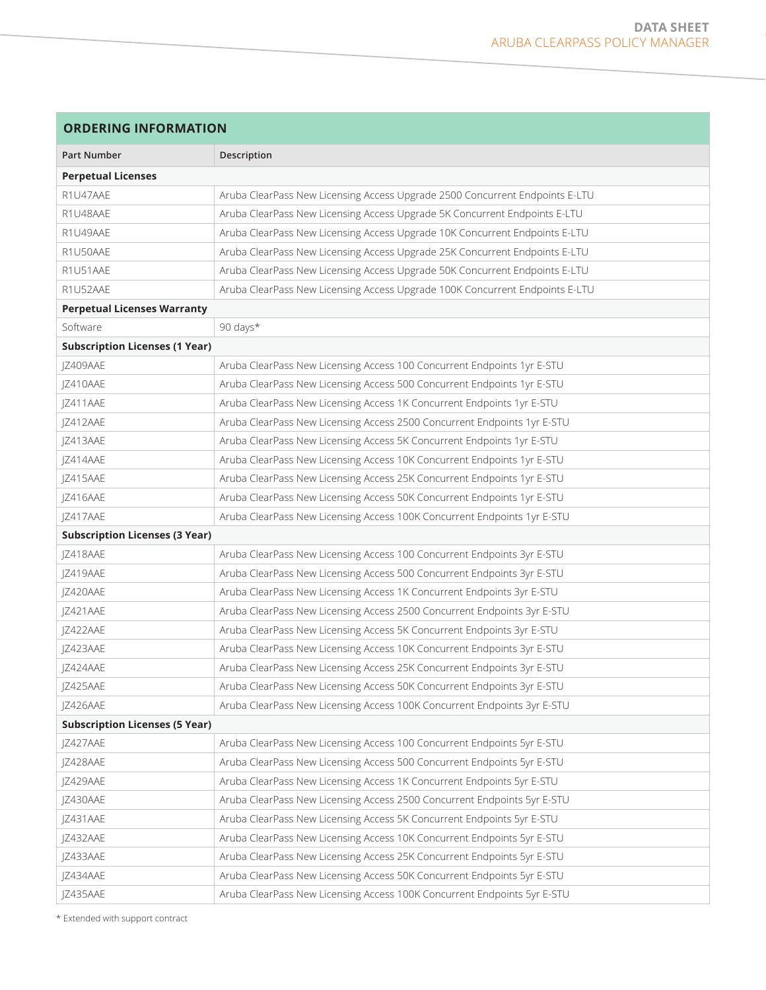| <b>ORDERING INFORMATION</b>           |                                                                              |  |  |
|---------------------------------------|------------------------------------------------------------------------------|--|--|
| <b>Part Number</b>                    | Description                                                                  |  |  |
| <b>Perpetual Licenses</b>             |                                                                              |  |  |
| R1U47AAE                              | Aruba ClearPass New Licensing Access Upgrade 2500 Concurrent Endpoints E-LTU |  |  |
| R1U48AAE                              | Aruba ClearPass New Licensing Access Upgrade 5K Concurrent Endpoints E-LTU   |  |  |
| R1U49AAE                              | Aruba ClearPass New Licensing Access Upgrade 10K Concurrent Endpoints E-LTU  |  |  |
| R1U50AAE                              | Aruba ClearPass New Licensing Access Upgrade 25K Concurrent Endpoints E-LTU  |  |  |
| R1U51AAE                              | Aruba ClearPass New Licensing Access Upgrade 50K Concurrent Endpoints E-LTU  |  |  |
| R1U52AAE                              | Aruba ClearPass New Licensing Access Upgrade 100K Concurrent Endpoints E-LTU |  |  |
| <b>Perpetual Licenses Warranty</b>    |                                                                              |  |  |
| Software                              | 90 days*                                                                     |  |  |
| <b>Subscription Licenses (1 Year)</b> |                                                                              |  |  |
| JZ409AAE                              | Aruba ClearPass New Licensing Access 100 Concurrent Endpoints 1yr E-STU      |  |  |
| JZ410AAE                              | Aruba ClearPass New Licensing Access 500 Concurrent Endpoints 1yr E-STU      |  |  |
| JZ411AAE                              | Aruba ClearPass New Licensing Access 1K Concurrent Endpoints 1yr E-STU       |  |  |
| JZ412AAE                              | Aruba ClearPass New Licensing Access 2500 Concurrent Endpoints 1yr E-STU     |  |  |
| JZ413AAE                              | Aruba ClearPass New Licensing Access 5K Concurrent Endpoints 1yr E-STU       |  |  |
| JZ414AAE                              | Aruba ClearPass New Licensing Access 10K Concurrent Endpoints 1yr E-STU      |  |  |
| JZ415AAE                              | Aruba ClearPass New Licensing Access 25K Concurrent Endpoints 1yr E-STU      |  |  |
| JZ416AAE                              | Aruba ClearPass New Licensing Access 50K Concurrent Endpoints 1yr E-STU      |  |  |
| JZ417AAE                              | Aruba ClearPass New Licensing Access 100K Concurrent Endpoints 1yr E-STU     |  |  |
| <b>Subscription Licenses (3 Year)</b> |                                                                              |  |  |
| JZ418AAE                              | Aruba ClearPass New Licensing Access 100 Concurrent Endpoints 3yr E-STU      |  |  |
| JZ419AAE                              | Aruba ClearPass New Licensing Access 500 Concurrent Endpoints 3yr E-STU      |  |  |
| JZ420AAE                              | Aruba ClearPass New Licensing Access 1K Concurrent Endpoints 3yr E-STU       |  |  |
| JZ421AAE                              | Aruba ClearPass New Licensing Access 2500 Concurrent Endpoints 3yr E-STU     |  |  |
| IZ422AAE                              | Aruba ClearPass New Licensing Access 5K Concurrent Endpoints 3yr E-STU       |  |  |
| JZ423AAE                              | Aruba ClearPass New Licensing Access 10K Concurrent Endpoints 3yr E-STU      |  |  |
| JZ424AAE                              | Aruba ClearPass New Licensing Access 25K Concurrent Endpoints 3yr E-STU      |  |  |
| JZ425AAE                              | Aruba ClearPass New Licensing Access 50K Concurrent Endpoints 3yr E-STU      |  |  |
| <b>IZ426AAE</b>                       | Aruba ClearPass New Licensing Access 100K Concurrent Endpoints 3yr E-STU     |  |  |
| <b>Subscription Licenses (5 Year)</b> |                                                                              |  |  |
| JZ427AAE                              | Aruba ClearPass New Licensing Access 100 Concurrent Endpoints 5yr E-STU      |  |  |
| JZ428AAE                              | Aruba ClearPass New Licensing Access 500 Concurrent Endpoints 5yr E-STU      |  |  |
| JZ429AAE                              | Aruba ClearPass New Licensing Access 1K Concurrent Endpoints 5yr E-STU       |  |  |
| JZ430AAE                              | Aruba ClearPass New Licensing Access 2500 Concurrent Endpoints 5yr E-STU     |  |  |
| JZ431AAE                              | Aruba ClearPass New Licensing Access 5K Concurrent Endpoints 5yr E-STU       |  |  |
| JZ432AAE                              | Aruba ClearPass New Licensing Access 10K Concurrent Endpoints 5yr E-STU      |  |  |
| JZ433AAE                              | Aruba ClearPass New Licensing Access 25K Concurrent Endpoints 5yr E-STU      |  |  |
| JZ434AAE                              | Aruba ClearPass New Licensing Access 50K Concurrent Endpoints 5yr E-STU      |  |  |
| JZ435AAE                              | Aruba ClearPass New Licensing Access 100K Concurrent Endpoints 5yr E-STU     |  |  |

\* Extended with support contract